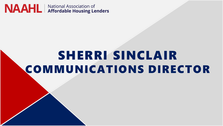

# SHERRI SINCLAIR COMMUNICATIONS DIRECTOR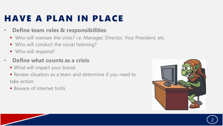## HAVE A PLAN IN PLACE

#### • **Define team roles & responsibilities**

- Who will oversee the crisis? i.e. Manager, Director, Vice President, etc.
- Who will conduct the social listening?
- Who will respond?

#### • **Define what counts as a crisis**

- What will impact your brand
- Review situation as a team and determine if you need to take action
- **E** Beware of internet trolls



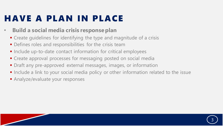## HAVE A PLAN IN PLACE

#### • **Build a social media crisis response plan**

- Create guidelines for identifying the type and magnitude of a crisis
- **•** Defines roles and responsibilities for the crisis team
- **.** Include up-to-date contact information for critical employees
- **Create approval processes for messaging posted on social media**
- **Draft any pre-approved external messages, images, or information**
- **•** Include a link to your social media policy or other information related to the issue
- **E** Analyze/evaluate your responses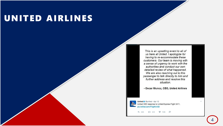#### UNITED AIRLINES

This is an upsetting event to all of us here at United. I apologize for having to re-accommodate these customers. Our team is moving with a sense of urgency to work with the authorities and conduct our own detailed review of what happened. We are also reaching out to this passenger to talk directly to him and further address and resolve this situation.

- Oscar Munoz, CEO, United Airlines

United O @united · Apr 10 United CEO response to United Express Flight 3411. pic.twitter.com/rF5gNIvVd0

####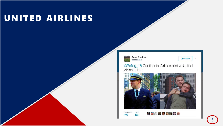### UNITED AIRLINES

**Dave Cindrich @capcindrich** 

 $2 +$  Follow

 $\sim$ 

@Reflog\_18 Continental Airlines pilot vs United Airlines pilot:



333 109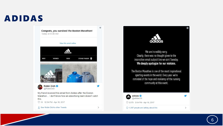### ADIDAS



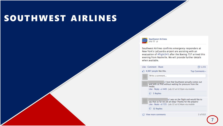#### SOUTHWEST AIRLINES

#### **Southwest Airlines** July 22  $@$

Southwest Airlines confirms emergency responders at New York's LaGuardia airport are assisting with an evacuation of #flight345 after the Boeing 737 arrived this evening from Nashville. We will provide further details when available.

#### Like - Comment - Share  $\n <sup>2</sup>$  1,151 4,987 people like this. Top Comments + Write a comment... I love that Southwest actually comes out<br>and tells us first without waiting for pressure from the media. Like · Reply ·  $\triangle$  449 · July 22 at 6:33pm via mobile  $\Box$  5 Replies y I was on the flight and would like to say that so far we are all okay! Thanks for the prayers! Like · Reply · < 725 · July 22 at 6:34pm via mobile  $\Box$  32 Replies View more comments 2 of 652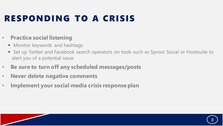## RESPONDING TO A CRISIS

#### • **Practice social listening**

- Monitor keywords and hashtags
- Set up Twitter and Facebook search operators on tools such as Sprout Social or Hootsuite to alert you of a potential issue.
- **Be sure to turn off any scheduled messages/posts**
- **Never delete negative comments**
- **Implement your social media crisis response plan**

8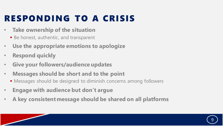## RESPONDING TO A CRISIS

- **Take ownership of the situation**
	- Be honest, authentic, and transparent
- **Use the appropriate emotions to apologize**
- **Respond quickly**
- **Give your followers/audience updates**
- **Messages should be short and to the point**
	- Messages should be designed to diminish concerns among followers
- **Engage with audience but don't argue**
- **A key consistent message should be shared on all platforms**